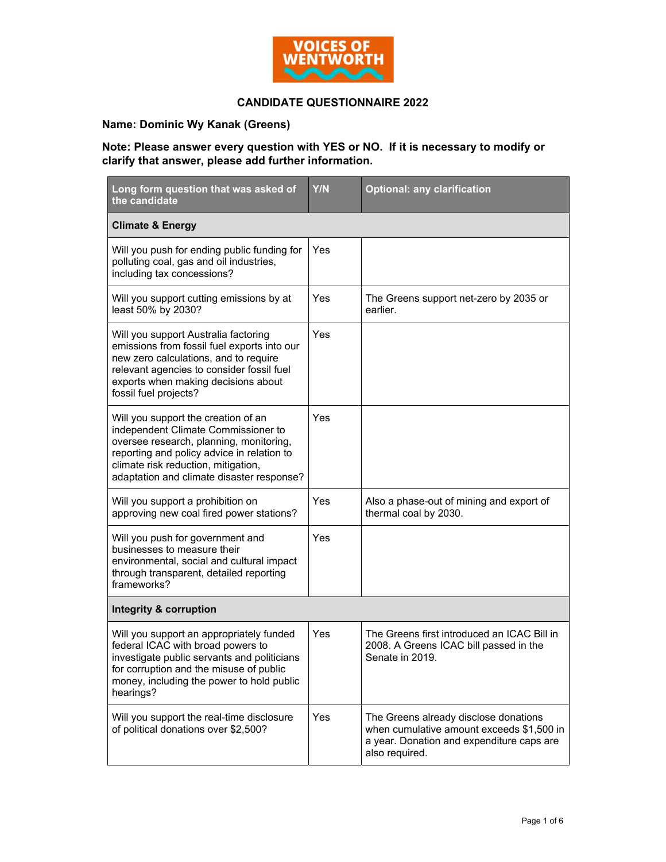

## **CANDIDATE QUESTIONNAIRE 2022**

**Name: Dominic Wy Kanak (Greens)** 

## **Note: Please answer every question with YES or NO. If it is necessary to modify or clarify that answer, please add further information.**

| Long form question that was asked of<br>the candidate                                                                                                                                                                                                   | Y/N | <b>Optional: any clarification</b>                                                                                                                |  |  |
|---------------------------------------------------------------------------------------------------------------------------------------------------------------------------------------------------------------------------------------------------------|-----|---------------------------------------------------------------------------------------------------------------------------------------------------|--|--|
| <b>Climate &amp; Energy</b>                                                                                                                                                                                                                             |     |                                                                                                                                                   |  |  |
| Will you push for ending public funding for<br>polluting coal, gas and oil industries,<br>including tax concessions?                                                                                                                                    | Yes |                                                                                                                                                   |  |  |
| Will you support cutting emissions by at<br>least 50% by 2030?                                                                                                                                                                                          | Yes | The Greens support net-zero by 2035 or<br>earlier.                                                                                                |  |  |
| Will you support Australia factoring<br>emissions from fossil fuel exports into our<br>new zero calculations, and to require<br>relevant agencies to consider fossil fuel<br>exports when making decisions about<br>fossil fuel projects?               | Yes |                                                                                                                                                   |  |  |
| Will you support the creation of an<br>independent Climate Commissioner to<br>oversee research, planning, monitoring,<br>reporting and policy advice in relation to<br>climate risk reduction, mitigation,<br>adaptation and climate disaster response? | Yes |                                                                                                                                                   |  |  |
| Will you support a prohibition on<br>approving new coal fired power stations?                                                                                                                                                                           | Yes | Also a phase-out of mining and export of<br>thermal coal by 2030.                                                                                 |  |  |
| Will you push for government and<br>businesses to measure their<br>environmental, social and cultural impact<br>through transparent, detailed reporting<br>frameworks?                                                                                  | Yes |                                                                                                                                                   |  |  |
| Integrity & corruption                                                                                                                                                                                                                                  |     |                                                                                                                                                   |  |  |
| Will you support an appropriately funded<br>federal ICAC with broad powers to<br>investigate public servants and politicians<br>for corruption and the misuse of public<br>money, including the power to hold public<br>hearings?                       | Yes | The Greens first introduced an ICAC Bill in<br>2008. A Greens ICAC bill passed in the<br>Senate in 2019.                                          |  |  |
| Will you support the real-time disclosure<br>of political donations over \$2,500?                                                                                                                                                                       | Yes | The Greens already disclose donations<br>when cumulative amount exceeds \$1,500 in<br>a year. Donation and expenditure caps are<br>also required. |  |  |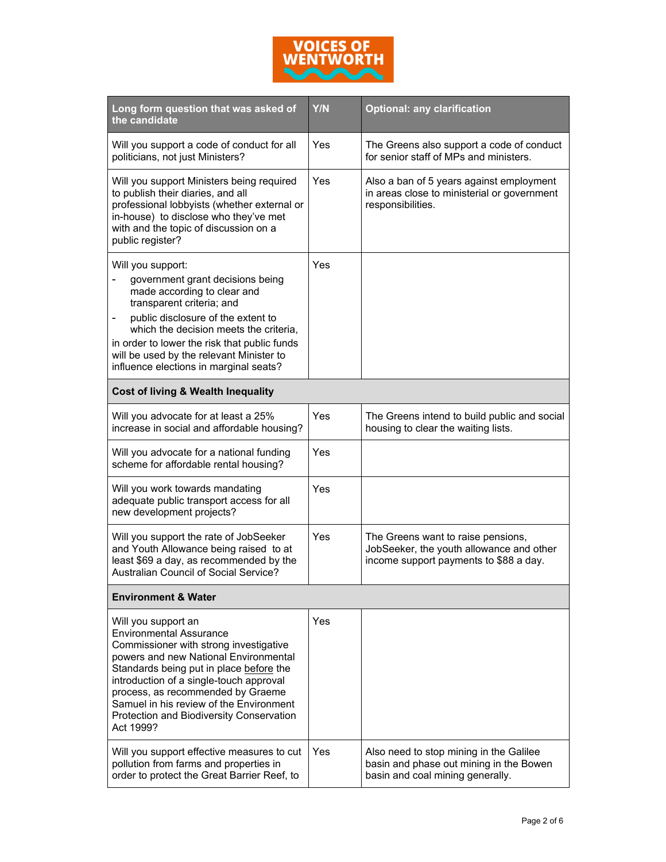

| Long form question that was asked of<br>the candidate                                                                                                                                                                                                                                                                                                                   | Y/N | <b>Optional: any clarification</b>                                                                                       |  |  |
|-------------------------------------------------------------------------------------------------------------------------------------------------------------------------------------------------------------------------------------------------------------------------------------------------------------------------------------------------------------------------|-----|--------------------------------------------------------------------------------------------------------------------------|--|--|
| Will you support a code of conduct for all<br>politicians, not just Ministers?                                                                                                                                                                                                                                                                                          | Yes | The Greens also support a code of conduct<br>for senior staff of MPs and ministers.                                      |  |  |
| Will you support Ministers being required<br>to publish their diaries, and all<br>professional lobbyists (whether external or<br>in-house) to disclose who they've met<br>with and the topic of discussion on a<br>public register?                                                                                                                                     | Yes | Also a ban of 5 years against employment<br>in areas close to ministerial or government<br>responsibilities.             |  |  |
| Will you support:<br>government grant decisions being<br>made according to clear and<br>transparent criteria; and<br>public disclosure of the extent to<br>which the decision meets the criteria,<br>in order to lower the risk that public funds<br>will be used by the relevant Minister to<br>influence elections in marginal seats?                                 | Yes |                                                                                                                          |  |  |
| <b>Cost of living &amp; Wealth Inequality</b>                                                                                                                                                                                                                                                                                                                           |     |                                                                                                                          |  |  |
| Will you advocate for at least a 25%<br>increase in social and affordable housing?                                                                                                                                                                                                                                                                                      | Yes | The Greens intend to build public and social<br>housing to clear the waiting lists.                                      |  |  |
| Will you advocate for a national funding<br>scheme for affordable rental housing?                                                                                                                                                                                                                                                                                       | Yes |                                                                                                                          |  |  |
| Will you work towards mandating<br>adequate public transport access for all<br>new development projects?                                                                                                                                                                                                                                                                | Yes |                                                                                                                          |  |  |
| Will you support the rate of JobSeeker<br>and Youth Allowance being raised to at<br>least \$69 a day, as recommended by the<br>Australian Council of Social Service?                                                                                                                                                                                                    | Yes | The Greens want to raise pensions,<br>JobSeeker, the youth allowance and other<br>income support payments to \$88 a day. |  |  |
| <b>Environment &amp; Water</b>                                                                                                                                                                                                                                                                                                                                          |     |                                                                                                                          |  |  |
| Will you support an<br><b>Environmental Assurance</b><br>Commissioner with strong investigative<br>powers and new National Environmental<br>Standards being put in place before the<br>introduction of a single-touch approval<br>process, as recommended by Graeme<br>Samuel in his review of the Environment<br>Protection and Biodiversity Conservation<br>Act 1999? | Yes |                                                                                                                          |  |  |
| Will you support effective measures to cut<br>pollution from farms and properties in<br>order to protect the Great Barrier Reef, to                                                                                                                                                                                                                                     | Yes | Also need to stop mining in the Galilee<br>basin and phase out mining in the Bowen<br>basin and coal mining generally.   |  |  |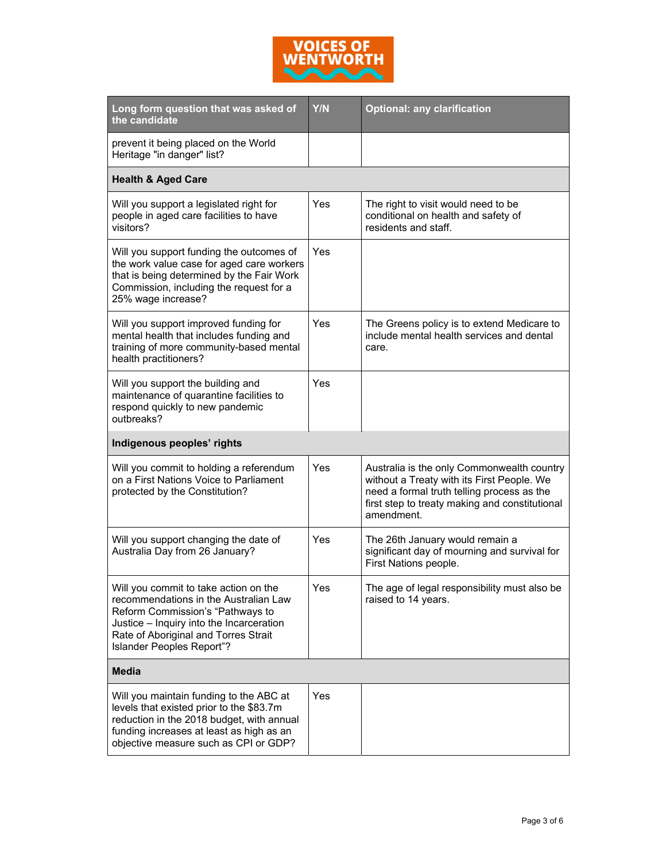

| Long form question that was asked of<br>the candidate                                                                                                                                                                               | Y/N | <b>Optional: any clarification</b>                                                                                                                                                                     |  |
|-------------------------------------------------------------------------------------------------------------------------------------------------------------------------------------------------------------------------------------|-----|--------------------------------------------------------------------------------------------------------------------------------------------------------------------------------------------------------|--|
| prevent it being placed on the World<br>Heritage "in danger" list?                                                                                                                                                                  |     |                                                                                                                                                                                                        |  |
| <b>Health &amp; Aged Care</b>                                                                                                                                                                                                       |     |                                                                                                                                                                                                        |  |
| Will you support a legislated right for<br>people in aged care facilities to have<br>visitors?                                                                                                                                      | Yes | The right to visit would need to be<br>conditional on health and safety of<br>residents and staff.                                                                                                     |  |
| Will you support funding the outcomes of<br>the work value case for aged care workers<br>that is being determined by the Fair Work<br>Commission, including the request for a<br>25% wage increase?                                 | Yes |                                                                                                                                                                                                        |  |
| Will you support improved funding for<br>mental health that includes funding and<br>training of more community-based mental<br>health practitioners?                                                                                | Yes | The Greens policy is to extend Medicare to<br>include mental health services and dental<br>care.                                                                                                       |  |
| Will you support the building and<br>maintenance of quarantine facilities to<br>respond quickly to new pandemic<br>outbreaks?                                                                                                       | Yes |                                                                                                                                                                                                        |  |
| Indigenous peoples' rights                                                                                                                                                                                                          |     |                                                                                                                                                                                                        |  |
| Will you commit to holding a referendum<br>on a First Nations Voice to Parliament<br>protected by the Constitution?                                                                                                                 | Yes | Australia is the only Commonwealth country<br>without a Treaty with its First People. We<br>need a formal truth telling process as the<br>first step to treaty making and constitutional<br>amendment. |  |
| Will you support changing the date of<br>Australia Day from 26 January?                                                                                                                                                             | Yes | The 26th January would remain a<br>significant day of mourning and survival for<br>First Nations people.                                                                                               |  |
| Will you commit to take action on the<br>recommendations in the Australian Law<br>Reform Commission's "Pathways to<br>Justice - Inquiry into the Incarceration<br>Rate of Aboriginal and Torres Strait<br>Islander Peoples Report"? | Yes | The age of legal responsibility must also be<br>raised to 14 years.                                                                                                                                    |  |
| <b>Media</b>                                                                                                                                                                                                                        |     |                                                                                                                                                                                                        |  |
| Will you maintain funding to the ABC at<br>levels that existed prior to the \$83.7m<br>reduction in the 2018 budget, with annual<br>funding increases at least as high as an<br>objective measure such as CPI or GDP?               | Yes |                                                                                                                                                                                                        |  |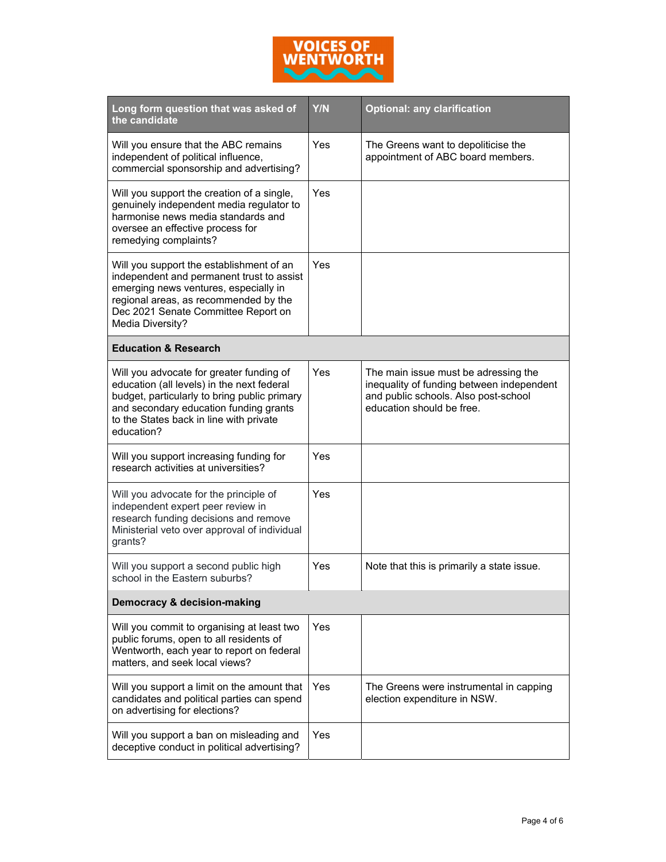

| Long form question that was asked of<br>the candidate                                                                                                                                                                                     | Y/N | <b>Optional: any clarification</b>                                                                                                                     |  |  |
|-------------------------------------------------------------------------------------------------------------------------------------------------------------------------------------------------------------------------------------------|-----|--------------------------------------------------------------------------------------------------------------------------------------------------------|--|--|
| Will you ensure that the ABC remains<br>independent of political influence,<br>commercial sponsorship and advertising?                                                                                                                    | Yes | The Greens want to depoliticise the<br>appointment of ABC board members.                                                                               |  |  |
| Will you support the creation of a single,<br>genuinely independent media regulator to<br>harmonise news media standards and<br>oversee an effective process for<br>remedying complaints?                                                 | Yes |                                                                                                                                                        |  |  |
| Will you support the establishment of an<br>independent and permanent trust to assist<br>emerging news ventures, especially in<br>regional areas, as recommended by the<br>Dec 2021 Senate Committee Report on<br>Media Diversity?        | Yes |                                                                                                                                                        |  |  |
| <b>Education &amp; Research</b>                                                                                                                                                                                                           |     |                                                                                                                                                        |  |  |
| Will you advocate for greater funding of<br>education (all levels) in the next federal<br>budget, particularly to bring public primary<br>and secondary education funding grants<br>to the States back in line with private<br>education? | Yes | The main issue must be adressing the<br>inequality of funding between independent<br>and public schools. Also post-school<br>education should be free. |  |  |
| Will you support increasing funding for<br>research activities at universities?                                                                                                                                                           | Yes |                                                                                                                                                        |  |  |
| Will you advocate for the principle of<br>independent expert peer review in<br>research funding decisions and remove<br>Ministerial veto over approval of individual<br>grants?                                                           | Yes |                                                                                                                                                        |  |  |
| Will you support a second public high<br>school in the Eastern suburbs?                                                                                                                                                                   | Yes | Note that this is primarily a state issue.                                                                                                             |  |  |
| Democracy & decision-making                                                                                                                                                                                                               |     |                                                                                                                                                        |  |  |
| Will you commit to organising at least two<br>public forums, open to all residents of<br>Wentworth, each year to report on federal<br>matters, and seek local views?                                                                      | Yes |                                                                                                                                                        |  |  |
| Will you support a limit on the amount that<br>candidates and political parties can spend<br>on advertising for elections?                                                                                                                | Yes | The Greens were instrumental in capping<br>election expenditure in NSW.                                                                                |  |  |
| Will you support a ban on misleading and<br>deceptive conduct in political advertising?                                                                                                                                                   | Yes |                                                                                                                                                        |  |  |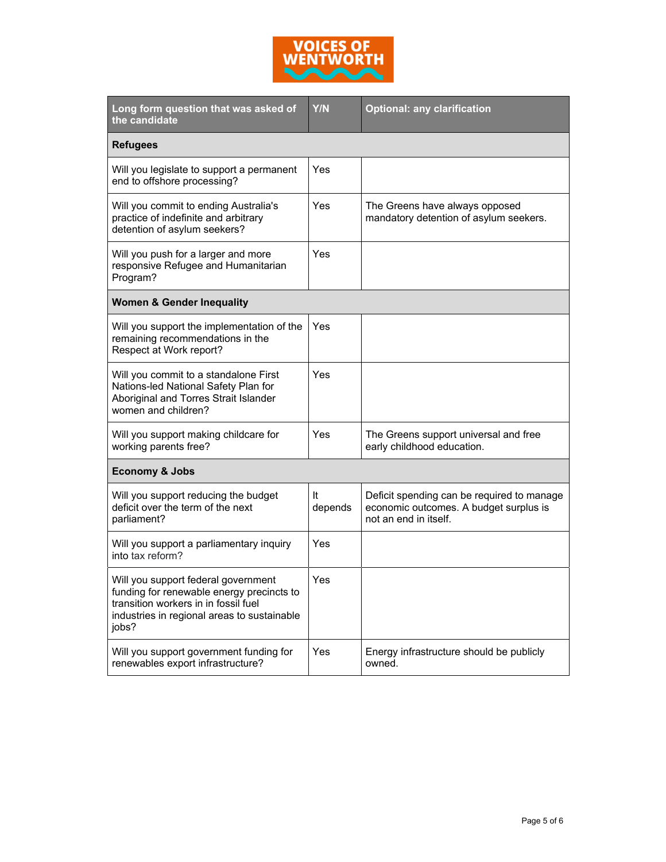

| Long form question that was asked of<br>the candidate                                                                                                                            | Y/N           | <b>Optional: any clarification</b>                                                                            |  |  |
|----------------------------------------------------------------------------------------------------------------------------------------------------------------------------------|---------------|---------------------------------------------------------------------------------------------------------------|--|--|
| <b>Refugees</b>                                                                                                                                                                  |               |                                                                                                               |  |  |
| Will you legislate to support a permanent<br>end to offshore processing?                                                                                                         | Yes           |                                                                                                               |  |  |
| Will you commit to ending Australia's<br>practice of indefinite and arbitrary<br>detention of asylum seekers?                                                                    | Yes           | The Greens have always opposed<br>mandatory detention of asylum seekers.                                      |  |  |
| Will you push for a larger and more<br>responsive Refugee and Humanitarian<br>Program?                                                                                           | Yes           |                                                                                                               |  |  |
| <b>Women &amp; Gender Inequality</b>                                                                                                                                             |               |                                                                                                               |  |  |
| Will you support the implementation of the<br>remaining recommendations in the<br>Respect at Work report?                                                                        | Yes           |                                                                                                               |  |  |
| Will you commit to a standalone First<br>Nations-led National Safety Plan for<br>Aboriginal and Torres Strait Islander<br>women and children?                                    | Yes           |                                                                                                               |  |  |
| Will you support making childcare for<br>working parents free?                                                                                                                   | Yes           | The Greens support universal and free<br>early childhood education.                                           |  |  |
| <b>Economy &amp; Jobs</b>                                                                                                                                                        |               |                                                                                                               |  |  |
| Will you support reducing the budget<br>deficit over the term of the next<br>parliament?                                                                                         | It<br>depends | Deficit spending can be required to manage<br>economic outcomes. A budget surplus is<br>not an end in itself. |  |  |
| Will you support a parliamentary inquiry<br>into tax reform?                                                                                                                     | Yes           |                                                                                                               |  |  |
| Will you support federal government<br>funding for renewable energy precincts to<br>transition workers in in fossil fuel<br>industries in regional areas to sustainable<br>jobs? | Yes           |                                                                                                               |  |  |
| Will you support government funding for<br>renewables export infrastructure?                                                                                                     | Yes           | Energy infrastructure should be publicly<br>owned.                                                            |  |  |